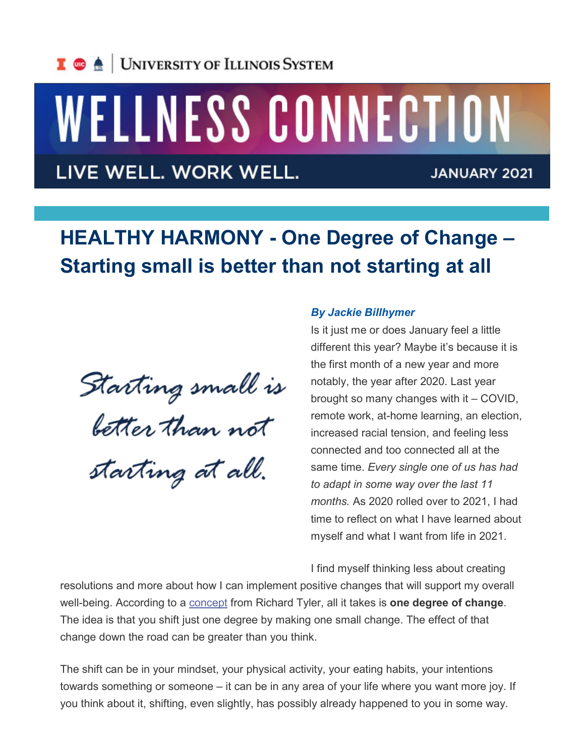

## WELLNESS CONNECTION

LIVE WELL. WORK WELL.

**JANUARY 2021** 

## **HEALTHY HARMONY - One Degree of Change – Starting small is better than not starting at all**

Starting small is<br>better than not starting at all.

## *By Jackie Billhymer*

Is it just me or does January feel a little different this year? Maybe it's because it is the first month of a new year and more notably, the year after 2020. Last year brought so many changes with it – COVID, remote work, at-home learning, an election, increased racial tension, and feeling less connected and too connected all at the same time. *Every single one of us has had to adapt in some way over the last 11 months.* As 2020 rolled over to 2021, I had time to reflect on what I have learned about myself and what I want from life in 2021.

I find myself thinking less about creating

resolutions and more about how I can implement positive changes that will support my overall well-being. According to a [concept](http://links.illinois.edu/f/a/pnr_u4uFlrBZ-F7X9h74Ew%7E%7E/AAMFlAA%7E/RgRh4chKP0QraHR0cHM6Ly93d3cueW91dHViZS5jb20vd2F0Y2g_dj13cUJHcTNwUUVINFcDc3BjQgpf_EpD_1_SkvGOUhNjbWMyMTFAaWxsaW5vaXMuZWR1WAQAAAAE) from Richard Tyler, all it takes is **one degree of change**. The idea is that you shift just one degree by making one small change. The effect of that change down the road can be greater than you think.

The shift can be in your mindset, your physical activity, your eating habits, your intentions towards something or someone – it can be in any area of your life where you want more joy. If you think about it, shifting, even slightly, has possibly already happened to you in some way.